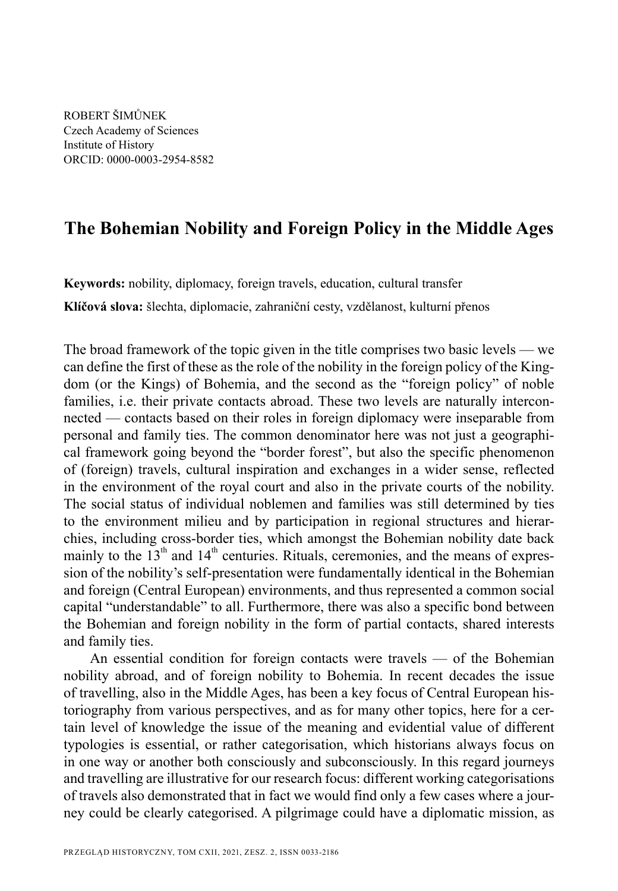ROBERT ŠIMŮNEK Czech Academy of Sciences Institute of History ORCID: 0000-0003-2954-8582

# **The Bohemian Nobility and Foreign Policy in the Middle Ages**

**Keywords:** nobility, diplomacy, foreign travels, education, cultural transfer

**Klíčová slova:** šlechta, diplomacie, zahraniční cesty, vzdělanost, kulturní přenos

The broad framework of the topic given in the title comprises two basic levels — we can define the first of these as the role of the nobility in the foreign policy of the Kingdom (or the Kings) of Bohemia, and the second as the "foreign policy" of noble families, i.e. their private contacts abroad. These two levels are naturally interconnected — contacts based on their roles in foreign diplomacy were inseparable from personal and family ties. The common denominator here was not just a geographical framework going beyond the "border forest", but also the specific phenomenon of (foreign) travels, cultural inspiration and exchanges in a wider sense, reflected in the environment of the royal court and also in the private courts of the nobility. The social status of individual noblemen and families was still determined by ties to the environment milieu and by participation in regional structures and hierarchies, including cross-border ties, which amongst the Bohemian nobility date back mainly to the  $13<sup>th</sup>$  and  $14<sup>th</sup>$  centuries. Rituals, ceremonies, and the means of expression of the nobility's self-presentation were fundamentally identical in the Bohemian and foreign (Central European) environments, and thus represented a common social capital "understandable" to all. Furthermore, there was also a specific bond between the Bohemian and foreign nobility in the form of partial contacts, shared interests and family ties.

An essential condition for foreign contacts were travels — of the Bohemian nobility abroad, and of foreign nobility to Bohemia. In recent decades the issue of travelling, also in the Middle Ages, has been a key focus of Central European historiography from various perspectives, and as for many other topics, here for a certain level of knowledge the issue of the meaning and evidential value of different typologies is essential, or rather categorisation, which historians always focus on in one way or another both consciously and subconsciously. In this regard journeys and travelling are illustrative for our research focus: different working categorisations of travels also demonstrated that in fact we would find only a few cases where a journey could be clearly categorised. A pilgrimage could have a diplomatic mission, as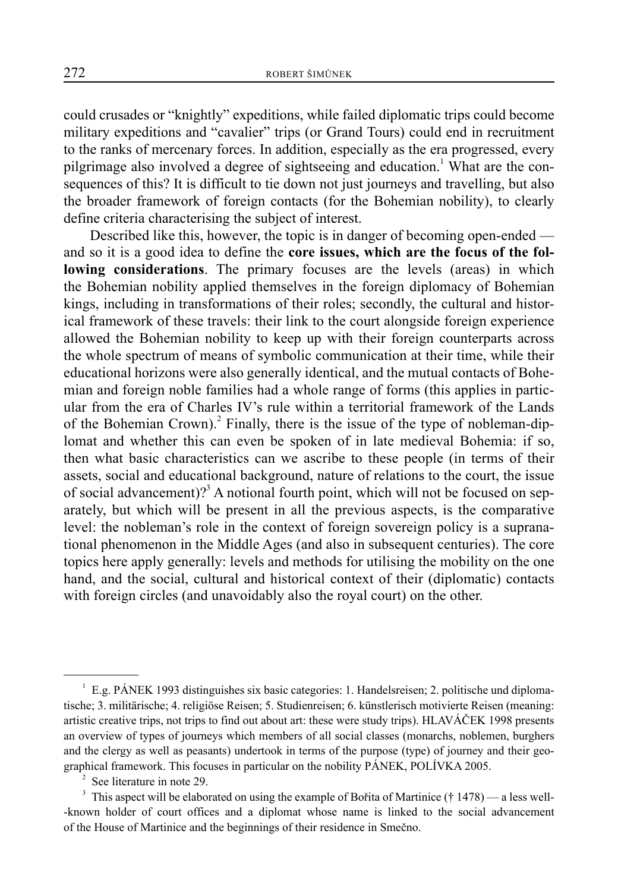could crusades or "knightly" expeditions, while failed diplomatic trips could become military expeditions and "cavalier" trips (or Grand Tours) could end in recruitment to the ranks of mercenary forces. In addition, especially as the era progressed, every pilgrimage also involved a degree of sightseeing and education.<sup>1</sup> What are the consequences of this? It is difficult to tie down not just journeys and travelling, but also the broader framework of foreign contacts (for the Bohemian nobility), to clearly define criteria characterising the subject of interest.

Described like this, however, the topic is in danger of becoming open-ended and so it is a good idea to define the **core issues, which are the focus of the following considerations**. The primary focuses are the levels (areas) in which the Bohemian nobility applied themselves in the foreign diplomacy of Bohemian kings, including in transformations of their roles; secondly, the cultural and historical framework of these travels: their link to the court alongside foreign experience allowed the Bohemian nobility to keep up with their foreign counterparts across the whole spectrum of means of symbolic communication at their time, while their educational horizons were also generally identical, and the mutual contacts of Bohemian and foreign noble families had a whole range of forms (this applies in particular from the era of Charles IV's rule within a territorial framework of the Lands of the Bohemian Crown).<sup>2</sup> Finally, there is the issue of the type of nobleman-diplomat and whether this can even be spoken of in late medieval Bohemia: if so, then what basic characteristics can we ascribe to these people (in terms of their assets, social and educational background, nature of relations to the court, the issue of social advancement)?<sup>3</sup> A notional fourth point, which will not be focused on separately, but which will be present in all the previous aspects, is the comparative level: the nobleman's role in the context of foreign sovereign policy is a supranational phenomenon in the Middle Ages (and also in subsequent centuries). The core topics here apply generally: levels and methods for utilising the mobility on the one hand, and the social, cultural and historical context of their (diplomatic) contacts with foreign circles (and unavoidably also the royal court) on the other.

<sup>&</sup>lt;sup>1</sup> E.g. PÁNEK 1993 distinguishes six basic categories: 1. Handelsreisen; 2. politische und diplomatische; 3. militärische; 4. religiöse Reisen; 5. Studienreisen; 6. künstlerisch motivierte Reisen (meaning: artistic creative trips, not trips to find out about art: these were study trips). HLAVÁČEK 1998 presents an overview of types of journeys which members of all social classes (monarchs, noblemen, burghers and the clergy as well as peasants) undertook in terms of the purpose (type) of journey and their geographical framework. This focuses in particular on the nobility PÁNEK, POLÍVKA 2005.

<sup>2</sup> See literature in note 29.

<sup>&</sup>lt;sup>3</sup> This aspect will be elaborated on using the example of Bořita of Martinice († 1478) — a less well--known holder of court offices and a diplomat whose name is linked to the social advancement of the House of Martinice and the beginnings of their residence in Smečno.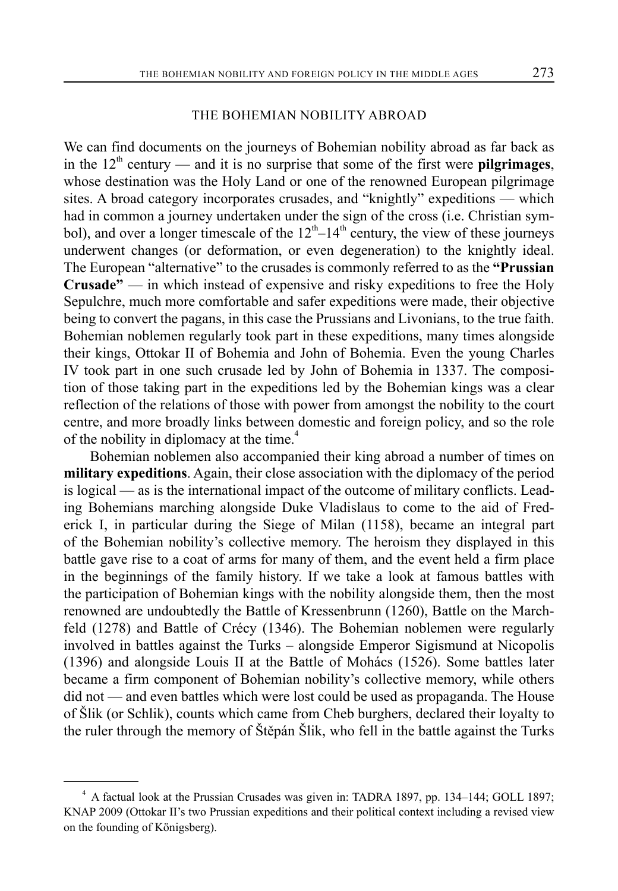### THE BOHEMIAN NOBILITY ABROAD

We can find documents on the journeys of Bohemian nobility abroad as far back as in the  $12<sup>th</sup>$  century — and it is no surprise that some of the first were **pilgrimages**, whose destination was the Holy Land or one of the renowned European pilgrimage sites. A broad category incorporates crusades, and "knightly" expeditions — which had in common a journey undertaken under the sign of the cross (i.e. Christian symbol), and over a longer timescale of the  $12<sup>th</sup>-14<sup>th</sup>$  century, the view of these journeys underwent changes (or deformation, or even degeneration) to the knightly ideal. The European "alternative" to the crusades is commonly referred to as the **"Prussian Crusade"** — in which instead of expensive and risky expeditions to free the Holy Sepulchre, much more comfortable and safer expeditions were made, their objective being to convert the pagans, in this case the Prussians and Livonians, to the true faith. Bohemian noblemen regularly took part in these expeditions, many times alongside their kings, Ottokar II of Bohemia and John of Bohemia. Even the young Charles IV took part in one such crusade led by John of Bohemia in 1337. The composition of those taking part in the expeditions led by the Bohemian kings was a clear reflection of the relations of those with power from amongst the nobility to the court centre, and more broadly links between domestic and foreign policy, and so the role of the nobility in diplomacy at the time.<sup>4</sup>

Bohemian noblemen also accompanied their king abroad a number of times on **military expeditions**. Again, their close association with the diplomacy of the period is logical — as is the international impact of the outcome of military conflicts. Leading Bohemians marching alongside Duke Vladislaus to come to the aid of Frederick I, in particular during the Siege of Milan (1158), became an integral part of the Bohemian nobility's collective memory. The heroism they displayed in this battle gave rise to a coat of arms for many of them, and the event held a firm place in the beginnings of the family history. If we take a look at famous battles with the participation of Bohemian kings with the nobility alongside them, then the most renowned are undoubtedly the Battle of Kressenbrunn (1260), Battle on the Marchfeld (1278) and Battle of Crécy (1346). The Bohemian noblemen were regularly involved in battles against the Turks – alongside Emperor Sigismund at Nicopolis (1396) and alongside Louis II at the Battle of Mohács (1526). Some battles later became a firm component of Bohemian nobility's collective memory, while others did not — and even battles which were lost could be used as propaganda. The House of Šlik (or Schlik), counts which came from Cheb burghers, declared their loyalty to the ruler through the memory of Štěpán Šlik, who fell in the battle against the Turks

<sup>&</sup>lt;sup>4</sup> A factual look at the Prussian Crusades was given in: TADRA 1897, pp. 134–144; GOLL 1897; KNAP 2009 (Ottokar II's two Prussian expeditions and their political context including a revised view on the founding of Königsberg).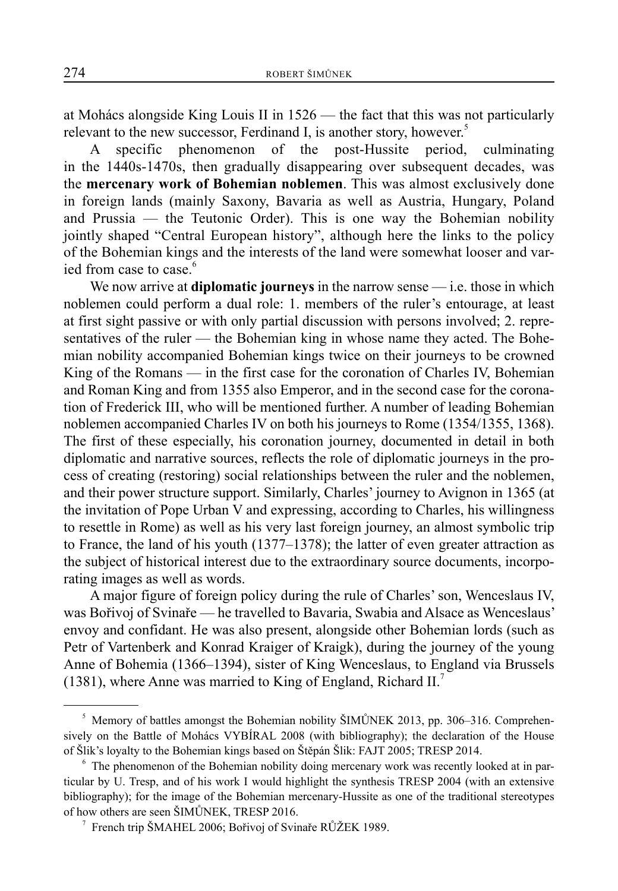at Mohács alongside King Louis II in 1526 — the fact that this was not particularly relevant to the new successor, Ferdinand I, is another story, however.<sup>5</sup>

A specific phenomenon of the post-Hussite period, culminating in the 1440s-1470s, then gradually disappearing over subsequent decades, was the **mercenary work of Bohemian noblemen**. This was almost exclusively done in foreign lands (mainly Saxony, Bavaria as well as Austria, Hungary, Poland and Prussia — the Teutonic Order). This is one way the Bohemian nobility jointly shaped "Central European history", although here the links to the policy of the Bohemian kings and the interests of the land were somewhat looser and varied from case to case.<sup>6</sup>

We now arrive at **diplomatic journeys** in the narrow sense — i.e. those in which noblemen could perform a dual role: 1. members of the ruler's entourage, at least at first sight passive or with only partial discussion with persons involved; 2. representatives of the ruler — the Bohemian king in whose name they acted. The Bohemian nobility accompanied Bohemian kings twice on their journeys to be crowned King of the Romans — in the first case for the coronation of Charles IV, Bohemian and Roman King and from 1355 also Emperor, and in the second case for the coronation of Frederick III, who will be mentioned further. A number of leading Bohemian noblemen accompanied Charles IV on both his journeys to Rome (1354/1355, 1368). The first of these especially, his coronation journey, documented in detail in both diplomatic and narrative sources, reflects the role of diplomatic journeys in the process of creating (restoring) social relationships between the ruler and the noblemen, and their power structure support. Similarly, Charles' journey to Avignon in 1365 (at the invitation of Pope Urban V and expressing, according to Charles, his willingness to resettle in Rome) as well as his very last foreign journey, an almost symbolic trip to France, the land of his youth (1377–1378); the latter of even greater attraction as the subject of historical interest due to the extraordinary source documents, incorporating images as well as words.

A major figure of foreign policy during the rule of Charles' son, Wenceslaus IV, was Bořivoj of Svinaře — he travelled to Bavaria, Swabia and Alsace as Wenceslaus' envoy and confidant. He was also present, alongside other Bohemian lords (such as Petr of Vartenberk and Konrad Kraiger of Kraigk), during the journey of the young Anne of Bohemia (1366–1394), sister of King Wenceslaus, to England via Brussels (1381), where Anne was married to King of England, Richard  $II$ .

<sup>&</sup>lt;sup>5</sup> Memory of battles amongst the Bohemian nobility ŠIMŮNEK 2013, pp. 306–316. Comprehensively on the Battle of Mohács VYBÍRAL 2008 (with bibliography); the declaration of the House of Šlik's loyalty to the Bohemian kings based on Štěpán Šlik: FAJT 2005; TRESP 2014.

 $6$  The phenomenon of the Bohemian nobility doing mercenary work was recently looked at in particular by U. Tresp, and of his work I would highlight the synthesis TRESP 2004 (with an extensive bibliography); for the image of the Bohemian mercenary-Hussite as one of the traditional stereotypes of how others are seen ŠIMŮNEK, TRESP 2016.

<sup>7</sup> French trip ŠMAHEL 2006; Bořivoj of Svinaře RŮŽEK 1989.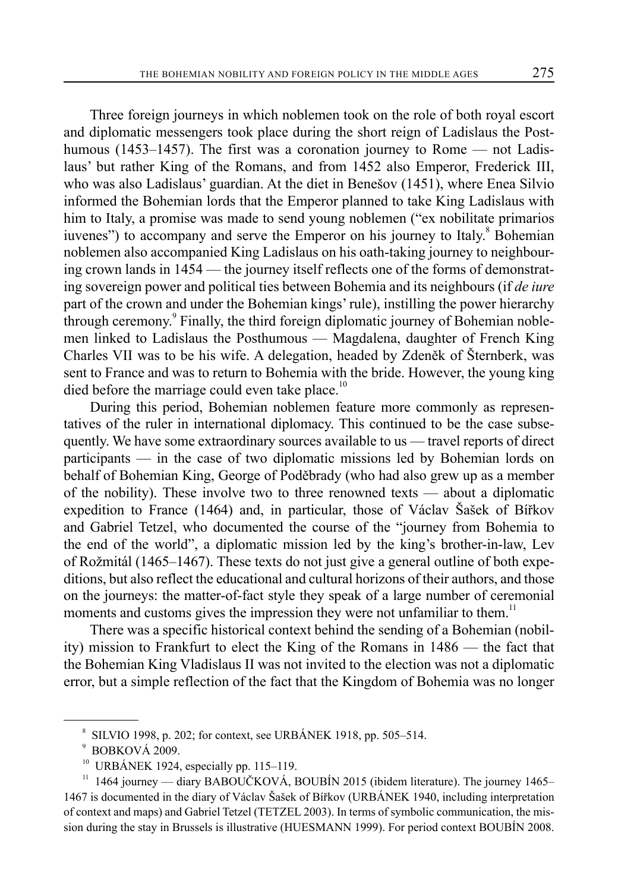Three foreign journeys in which noblemen took on the role of both royal escort and diplomatic messengers took place during the short reign of Ladislaus the Posthumous (1453–1457). The first was a coronation journey to Rome — not Ladislaus' but rather King of the Romans, and from 1452 also Emperor, Frederick III, who was also Ladislaus' guardian. At the diet in Benešov (1451), where Enea Silvio informed the Bohemian lords that the Emperor planned to take King Ladislaus with him to Italy, a promise was made to send young noblemen ("ex nobilitate primarios iuvenes") to accompany and serve the Emperor on his journey to Italy. $^8$  Bohemian noblemen also accompanied King Ladislaus on his oath-taking journey to neighbouring crown lands in 1454 — the journey itself reflects one of the forms of demonstrating sovereign power and political ties between Bohemia and its neighbours (if *de iure* part of the crown and under the Bohemian kings' rule), instilling the power hierarchy through ceremony.<sup>9</sup> Finally, the third foreign diplomatic journey of Bohemian noblemen linked to Ladislaus the Posthumous — Magdalena, daughter of French King Charles VII was to be his wife. A delegation, headed by Zdeněk of Šternberk, was sent to France and was to return to Bohemia with the bride. However, the young king died before the marriage could even take place.<sup>10</sup>

During this period, Bohemian noblemen feature more commonly as representatives of the ruler in international diplomacy. This continued to be the case subsequently. We have some extraordinary sources available to us — travel reports of direct participants — in the case of two diplomatic missions led by Bohemian lords on behalf of Bohemian King, George of Poděbrady (who had also grew up as a member of the nobility). These involve two to three renowned texts — about a diplomatic expedition to France (1464) and, in particular, those of Václav Šašek of Bířkov and Gabriel Tetzel, who documented the course of the "journey from Bohemia to the end of the world", a diplomatic mission led by the king's brother-in-law, Lev of Rožmitál (1465–1467). These texts do not just give a general outline of both expeditions, but also reflect the educational and cultural horizons of their authors, and those on the journeys: the matter-of-fact style they speak of a large number of ceremonial moments and customs gives the impression they were not unfamiliar to them.<sup>11</sup>

There was a specific historical context behind the sending of a Bohemian (nobility) mission to Frankfurt to elect the King of the Romans in 1486 — the fact that the Bohemian King Vladislaus II was not invited to the election was not a diplomatic error, but a simple reflection of the fact that the Kingdom of Bohemia was no longer

 $8$  SILVIO 1998, p. 202; for context, see URBÁNEK 1918, pp. 505–514.

<sup>9</sup> BOBKOVÁ 2009.

URBÁNEK 1924, especially pp. 115-119.

 $11$  1464 journey — diary BABOUČKOVÁ, BOUBÍN 2015 (ibidem literature). The journey 1465– 1467 is documented in the diary of Václav Šašek of Bířkov (URBÁNEK 1940, including interpretation of context and maps) and Gabriel Tetzel (TETZEL 2003). In terms of symbolic communication, the mission during the stay in Brussels is illustrative (HUESMANN 1999). For period context BOUBÍN 2008.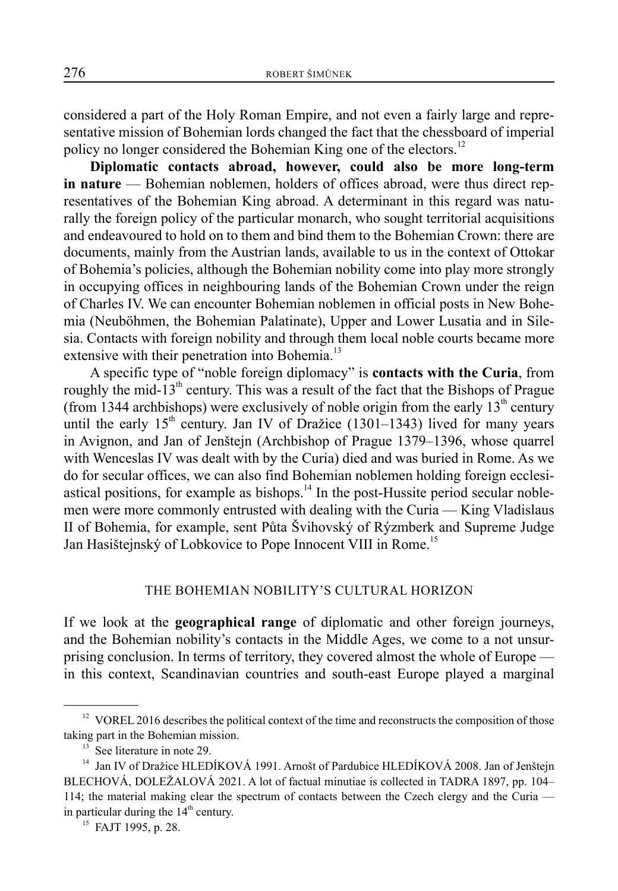considered a part of the Holy Roman Empire, and not even a fairly large and representative mission of Bohemian lords changed the fact that the chessboard of imperial policy no longer considered the Bohemian King one of the electors.<sup>12</sup>

**Diplomatic contacts abroad, however, could also be more long-term in nature** — Bohemian noblemen, holders of offices abroad, were thus direct representatives of the Bohemian King abroad. A determinant in this regard was naturally the foreign policy of the particular monarch, who sought territorial acquisitions and endeavoured to hold on to them and bind them to the Bohemian Crown: there are documents, mainly from the Austrian lands, available to us in the context of Ottokar of Bohemia's policies, although the Bohemian nobility come into play more strongly in occupying offices in neighbouring lands of the Bohemian Crown under the reign of Charles IV. We can encounter Bohemian noblemen in official posts in New Bohemia (Neuböhmen, the Bohemian Palatinate), Upper and Lower Lusatia and in Silesia. Contacts with foreign nobility and through them local noble courts became more extensive with their penetration into Bohemia.<sup>13</sup>

A specific type of "noble foreign diplomacy" is **contacts with the Curia**, from roughly the mid-13<sup>th</sup> century. This was a result of the fact that the Bishops of Prague (from 1344 archbishops) were exclusively of noble origin from the early  $13<sup>th</sup>$  century until the early  $15<sup>th</sup>$  century. Jan IV of Dražice (1301–1343) lived for many years in Avignon, and Jan of Jenštejn (Archbishop of Prague 1379–1396, whose quarrel with Wenceslas IV was dealt with by the Curia) died and was buried in Rome. As we do for secular offices, we can also find Bohemian noblemen holding foreign ecclesiastical positions, for example as bishops. $14$  In the post-Hussite period secular noblemen were more commonly entrusted with dealing with the Curia — King Vladislaus II of Bohemia, for example, sent Půta Švihovský of Rýzmberk and Supreme Judge Jan Hasištejnský of Lobkovice to Pope Innocent VIII in Rome.<sup>15</sup>

#### THE BOHEMIAN NOBILITY'S CULTURAL HORIZON

If we look at the **geographical range** of diplomatic and other foreign journeys, and the Bohemian nobility's contacts in the Middle Ages, we come to a not unsurprising conclusion. In terms of territory, they covered almost the whole of Europe in this context, Scandinavian countries and south-east Europe played a marginal

 $12$  VOREL 2016 describes the political context of the time and reconstructs the composition of those taking part in the Bohemian mission.

See literature in note 29.

<sup>&</sup>lt;sup>14</sup> Jan IV of Dražice HLEDÍKOVÁ 1991. Arnošt of Pardubice HLEDÍKOVÁ 2008. Jan of Jenštejn BLECHOVÁ, DOLEŽALOVÁ 2021. A lot of factual minutiae is collected in TADRA 1897, pp. 104– 114; the material making clear the spectrum of contacts between the Czech clergy and the Curia in particular during the  $14<sup>th</sup>$  century.

<sup>&</sup>lt;sup>15</sup> FAJT 1995, p. 28.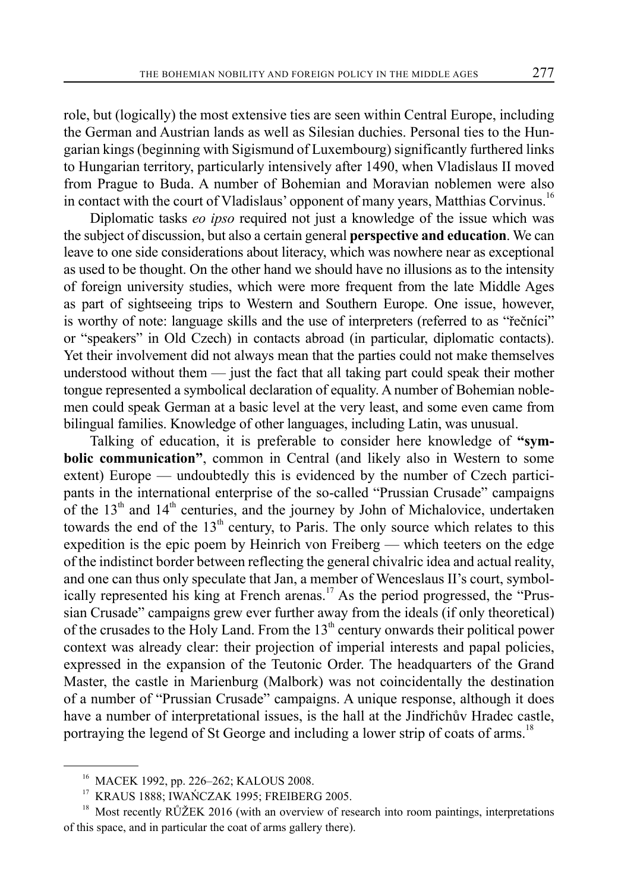role, but (logically) the most extensive ties are seen within Central Europe, including the German and Austrian lands as well as Silesian duchies. Personal ties to the Hungarian kings (beginning with Sigismund of Luxembourg) significantly furthered links to Hungarian territory, particularly intensively after 1490, when Vladislaus II moved from Prague to Buda. A number of Bohemian and Moravian noblemen were also in contact with the court of Vladislaus' opponent of many years, Matthias Corvinus.<sup>16</sup>

Diplomatic tasks *eo ipso* required not just a knowledge of the issue which was the subject of discussion, but also a certain general **perspective and education**. We can leave to one side considerations about literacy, which was nowhere near as exceptional as used to be thought. On the other hand we should have no illusions as to the intensity of foreign university studies, which were more frequent from the late Middle Ages as part of sightseeing trips to Western and Southern Europe. One issue, however, is worthy of note: language skills and the use of interpreters (referred to as "řečníci" or "speakers" in Old Czech) in contacts abroad (in particular, diplomatic contacts). Yet their involvement did not always mean that the parties could not make themselves understood without them — just the fact that all taking part could speak their mother tongue represented a symbolical declaration of equality. A number of Bohemian noblemen could speak German at a basic level at the very least, and some even came from bilingual families. Knowledge of other languages, including Latin, was unusual.

Talking of education, it is preferable to consider here knowledge of **"symbolic communication"**, common in Central (and likely also in Western to some extent) Europe — undoubtedly this is evidenced by the number of Czech participants in the international enterprise of the so-called "Prussian Crusade" campaigns of the  $13<sup>th</sup>$  and  $14<sup>th</sup>$  centuries, and the journey by John of Michalovice, undertaken towards the end of the  $13<sup>th</sup>$  century, to Paris. The only source which relates to this expedition is the epic poem by Heinrich von Freiberg — which teeters on the edge of the indistinct border between reflecting the general chivalric idea and actual reality, and one can thus only speculate that Jan, a member of Wenceslaus II's court, symbolically represented his king at French arenas.<sup>17</sup> As the period progressed, the "Prussian Crusade" campaigns grew ever further away from the ideals (if only theoretical) of the crusades to the Holy Land. From the  $13<sup>th</sup>$  century onwards their political power context was already clear: their projection of imperial interests and papal policies, expressed in the expansion of the Teutonic Order. The headquarters of the Grand Master, the castle in Marienburg (Malbork) was not coincidentally the destination of a number of "Prussian Crusade" campaigns. A unique response, although it does have a number of interpretational issues, is the hall at the Jindřichův Hradec castle, portraying the legend of St George and including a lower strip of coats of arms.<sup>18</sup>

<sup>16</sup> MACEK 1992, pp. 226–262; KALOUS 2008.

<sup>&</sup>lt;sup>17</sup> KRAUS 1888; IWAŃCZAK 1995; FREIBERG 2005.

 $18$  Most recently RŮŽEK 2016 (with an overview of research into room paintings, interpretations of this space, and in particular the coat of arms gallery there).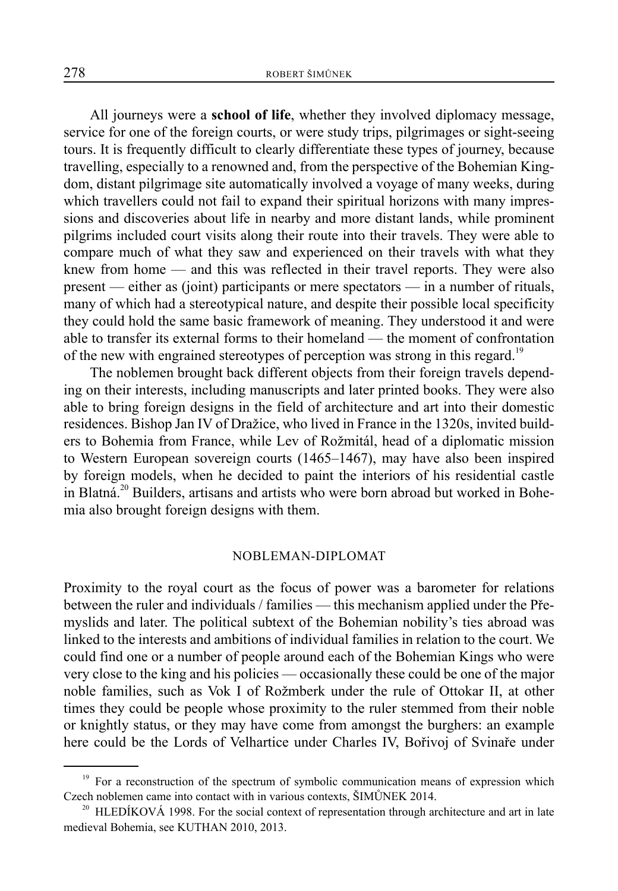All journeys were a **school of life**, whether they involved diplomacy message, service for one of the foreign courts, or were study trips, pilgrimages or sight-seeing tours. It is frequently difficult to clearly differentiate these types of journey, because travelling, especially to a renowned and, from the perspective of the Bohemian Kingdom, distant pilgrimage site automatically involved a voyage of many weeks, during which travellers could not fail to expand their spiritual horizons with many impressions and discoveries about life in nearby and more distant lands, while prominent pilgrims included court visits along their route into their travels. They were able to compare much of what they saw and experienced on their travels with what they knew from home — and this was reflected in their travel reports. They were also present — either as (joint) participants or mere spectators — in a number of rituals, many of which had a stereotypical nature, and despite their possible local specificity they could hold the same basic framework of meaning. They understood it and were able to transfer its external forms to their homeland — the moment of confrontation of the new with engrained stereotypes of perception was strong in this regard.<sup>19</sup>

The noblemen brought back different objects from their foreign travels depending on their interests, including manuscripts and later printed books. They were also able to bring foreign designs in the field of architecture and art into their domestic residences. Bishop Jan IV of Dražice, who lived in France in the 1320s, invited builders to Bohemia from France, while Lev of Rožmitál, head of a diplomatic mission to Western European sovereign courts (1465–1467), may have also been inspired by foreign models, when he decided to paint the interiors of his residential castle in Blatná.<sup>20</sup> Builders, artisans and artists who were born abroad but worked in Bohemia also brought foreign designs with them.

#### NOBLEMAN-DIPLOMAT

Proximity to the royal court as the focus of power was a barometer for relations between the ruler and individuals / families — this mechanism applied under the Přemyslids and later. The political subtext of the Bohemian nobility's ties abroad was linked to the interests and ambitions of individual families in relation to the court. We could find one or a number of people around each of the Bohemian Kings who were very close to the king and his policies — occasionally these could be one of the major noble families, such as Vok I of Rožmberk under the rule of Ottokar II, at other times they could be people whose proximity to the ruler stemmed from their noble or knightly status, or they may have come from amongst the burghers: an example here could be the Lords of Velhartice under Charles IV, Bořivoj of Svinaře under

<sup>&</sup>lt;sup>19</sup> For a reconstruction of the spectrum of symbolic communication means of expression which Czech noblemen came into contact with in various contexts, ŠIMŮNEK 2014.

<sup>&</sup>lt;sup>20</sup> HLEDÍKOVÁ 1998. For the social context of representation through architecture and art in late medieval Bohemia, see KUTHAN 2010, 2013.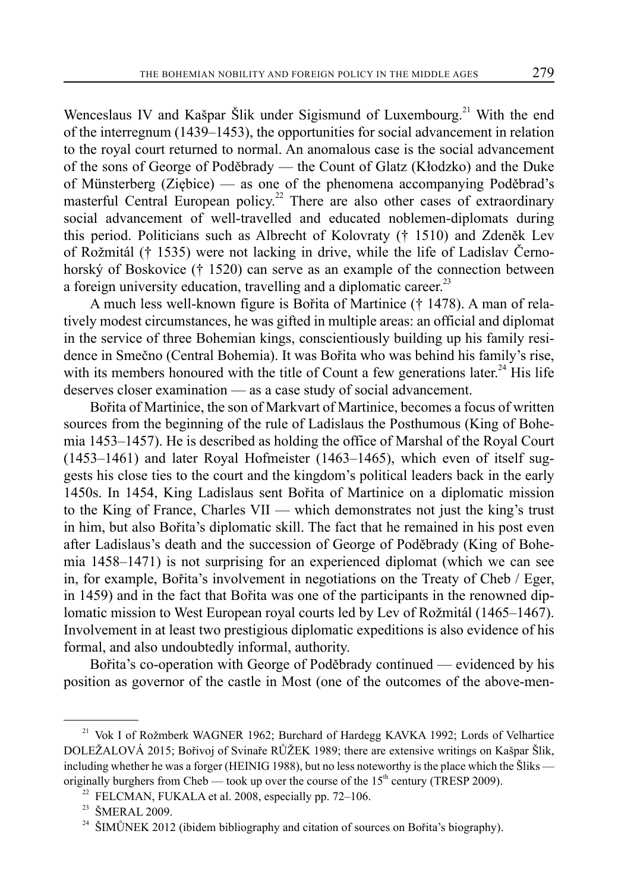Wenceslaus IV and Kašpar Šlik under Sigismund of Luxembourg.<sup>21</sup> With the end of the interregnum (1439–1453), the opportunities for social advancement in relation to the royal court returned to normal. An anomalous case is the social advancement of the sons of George of Poděbrady — the Count of Glatz (Kłodzko) and the Duke of Münsterberg (Ziębice) — as one of the phenomena accompanying Poděbrad's masterful Central European policy.<sup>22</sup> There are also other cases of extraordinary social advancement of well-travelled and educated noblemen-diplomats during this period. Politicians such as Albrecht of Kolovraty († 1510) and Zdeněk Lev of Rožmitál († 1535) were not lacking in drive, while the life of Ladislav Černohorský of Boskovice († 1520) can serve as an example of the connection between a foreign university education, travelling and a diplomatic career.<sup>23</sup>

A much less well-known figure is Bořita of Martinice († 1478). A man of relatively modest circumstances, he was gifted in multiple areas: an official and diplomat in the service of three Bohemian kings, conscientiously building up his family residence in Smečno (Central Bohemia). It was Bořita who was behind his family's rise, with its members honoured with the title of Count a few generations later.<sup>24</sup> His life deserves closer examination — as a case study of social advancement.

Bořita of Martinice, the son of Markvart of Martinice, becomes a focus of written sources from the beginning of the rule of Ladislaus the Posthumous (King of Bohemia 1453–1457). He is described as holding the office of Marshal of the Royal Court (1453–1461) and later Royal Hofmeister (1463–1465), which even of itself suggests his close ties to the court and the kingdom's political leaders back in the early 1450s. In 1454, King Ladislaus sent Bořita of Martinice on a diplomatic mission to the King of France, Charles VII — which demonstrates not just the king's trust in him, but also Bořita's diplomatic skill. The fact that he remained in his post even after Ladislaus's death and the succession of George of Poděbrady (King of Bohemia 1458–1471) is not surprising for an experienced diplomat (which we can see in, for example, Bořita's involvement in negotiations on the Treaty of Cheb / Eger, in 1459) and in the fact that Bořita was one of the participants in the renowned diplomatic mission to West European royal courts led by Lev of Rožmitál (1465–1467). Involvement in at least two prestigious diplomatic expeditions is also evidence of his formal, and also undoubtedly informal, authority.

Bořita's co-operation with George of Poděbrady continued — evidenced by his position as governor of the castle in Most (one of the outcomes of the above-men-

<sup>&</sup>lt;sup>21</sup> Vok I of Rožmberk WAGNER 1962; Burchard of Hardegg KAVKA 1992; Lords of Velhartice DOLEŽALOVÁ 2015; Bořivoj of Svinaře RŮŽEK 1989; there are extensive writings on Kašpar Šlik, including whether he was a forger (HEINIG 1988), but no less noteworthy is the place which the Šliks originally burghers from Cheb — took up over the course of the  $15<sup>th</sup>$  century (TRESP 2009).

 $22$  FELCMAN, FUKALA et al. 2008, especially pp. 72-106.

<sup>&</sup>lt;sup>23</sup> ŠMERAL 2009.

<sup>&</sup>lt;sup>24</sup> ŠIMŮNEK 2012 (ibidem bibliography and citation of sources on Bořita's biography).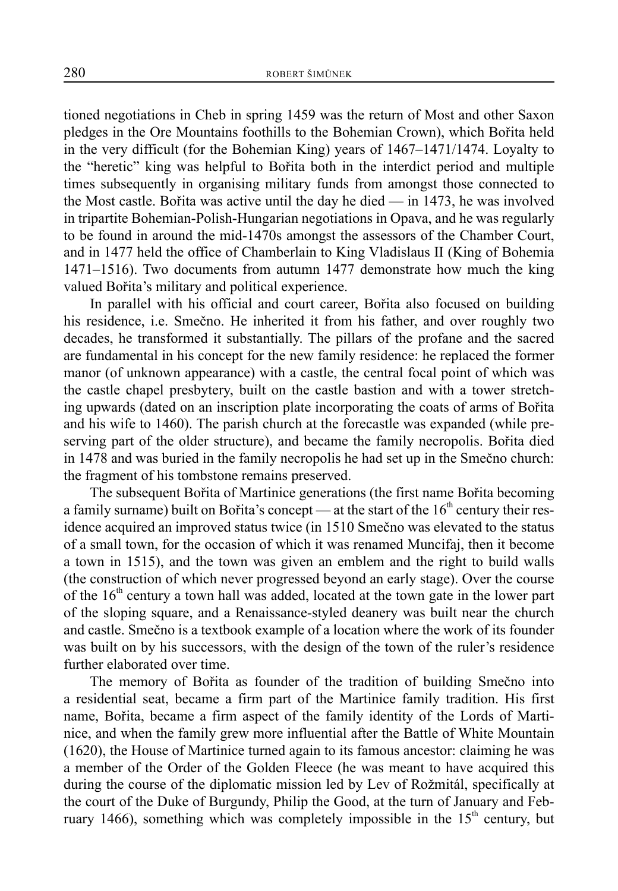tioned negotiations in Cheb in spring 1459 was the return of Most and other Saxon pledges in the Ore Mountains foothills to the Bohemian Crown), which Bořita held in the very difficult (for the Bohemian King) years of 1467–1471/1474. Loyalty to the "heretic" king was helpful to Bořita both in the interdict period and multiple times subsequently in organising military funds from amongst those connected to the Most castle. Bořita was active until the day he died — in 1473, he was involved in tripartite Bohemian-Polish-Hungarian negotiations in Opava, and he was regularly to be found in around the mid-1470s amongst the assessors of the Chamber Court, and in 1477 held the office of Chamberlain to King Vladislaus II (King of Bohemia 1471–1516). Two documents from autumn 1477 demonstrate how much the king valued Bořita's military and political experience.

In parallel with his official and court career, Bořita also focused on building his residence, i.e. Smečno. He inherited it from his father, and over roughly two decades, he transformed it substantially. The pillars of the profane and the sacred are fundamental in his concept for the new family residence: he replaced the former manor (of unknown appearance) with a castle, the central focal point of which was the castle chapel presbytery, built on the castle bastion and with a tower stretching upwards (dated on an inscription plate incorporating the coats of arms of Bořita and his wife to 1460). The parish church at the forecastle was expanded (while preserving part of the older structure), and became the family necropolis. Bořita died in 1478 and was buried in the family necropolis he had set up in the Smečno church: the fragment of his tombstone remains preserved.

The subsequent Bořita of Martinice generations (the first name Bořita becoming a family surname) built on Bořita's concept — at the start of the  $16<sup>th</sup>$  century their residence acquired an improved status twice (in 1510 Smečno was elevated to the status of a small town, for the occasion of which it was renamed Muncifaj, then it become a town in 1515), and the town was given an emblem and the right to build walls (the construction of which never progressed beyond an early stage). Over the course of the  $16<sup>th</sup>$  century a town hall was added, located at the town gate in the lower part of the sloping square, and a Renaissance-styled deanery was built near the church and castle. Smečno is a textbook example of a location where the work of its founder was built on by his successors, with the design of the town of the ruler's residence further elaborated over time.

The memory of Bořita as founder of the tradition of building Smečno into a residential seat, became a firm part of the Martinice family tradition. His first name, Bořita, became a firm aspect of the family identity of the Lords of Martinice, and when the family grew more influential after the Battle of White Mountain (1620), the House of Martinice turned again to its famous ancestor: claiming he was a member of the Order of the Golden Fleece (he was meant to have acquired this during the course of the diplomatic mission led by Lev of Rožmitál, specifically at the court of the Duke of Burgundy, Philip the Good, at the turn of January and February 1466), something which was completely impossible in the  $15<sup>th</sup>$  century, but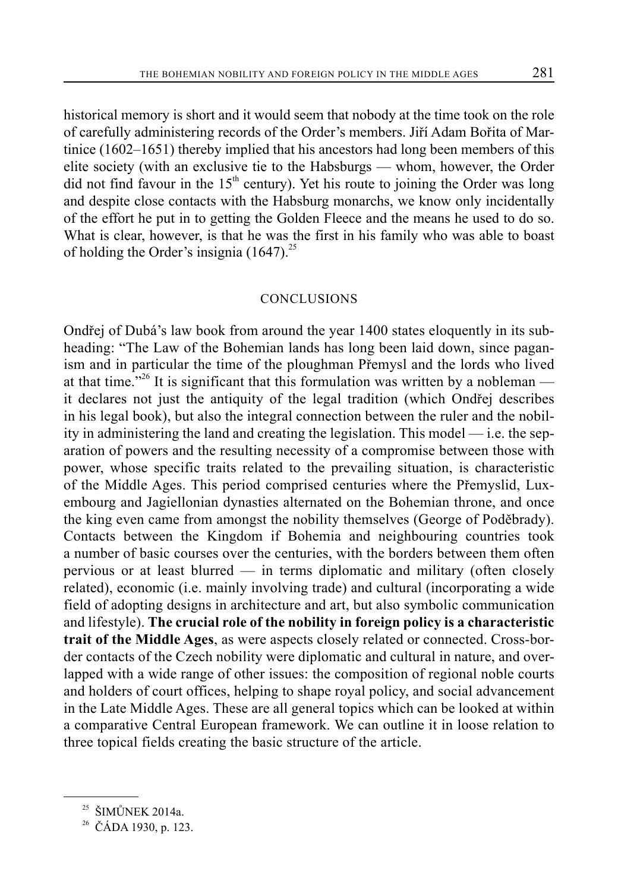historical memory is short and it would seem that nobody at the time took on the role of carefully administering records of the Order's members. Jiří Adam Bořita of Martinice (1602–1651) thereby implied that his ancestors had long been members of this elite society (with an exclusive tie to the Habsburgs — whom, however, the Order did not find favour in the  $15<sup>th</sup>$  century). Yet his route to joining the Order was long and despite close contacts with the Habsburg monarchs, we know only incidentally of the effort he put in to getting the Golden Fleece and the means he used to do so. What is clear, however, is that he was the first in his family who was able to boast of holding the Order's insignia  $(1647)^{25}$ 

## CONCLUSIONS

Ondřej of Dubá's law book from around the year 1400 states eloquently in its subheading: "The Law of the Bohemian lands has long been laid down, since paganism and in particular the time of the ploughman Přemysl and the lords who lived at that time."<sup>26</sup> It is significant that this formulation was written by a nobleman it declares not just the antiquity of the legal tradition (which Ondřej describes in his legal book), but also the integral connection between the ruler and the nobility in administering the land and creating the legislation. This model — i.e. the separation of powers and the resulting necessity of a compromise between those with power, whose specific traits related to the prevailing situation, is characteristic of the Middle Ages. This period comprised centuries where the Přemyslid, Luxembourg and Jagiellonian dynasties alternated on the Bohemian throne, and once the king even came from amongst the nobility themselves (George of Poděbrady). Contacts between the Kingdom if Bohemia and neighbouring countries took a number of basic courses over the centuries, with the borders between them often pervious or at least blurred — in terms diplomatic and military (often closely related), economic (i.e. mainly involving trade) and cultural (incorporating a wide field of adopting designs in architecture and art, but also symbolic communication and lifestyle). **The crucial role of the nobility in foreign policy is a characteristic trait of the Middle Ages**, as were aspects closely related or connected. Cross-border contacts of the Czech nobility were diplomatic and cultural in nature, and overlapped with a wide range of other issues: the composition of regional noble courts and holders of court offices, helping to shape royal policy, and social advancement in the Late Middle Ages. These are all general topics which can be looked at within a comparative Central European framework. We can outline it in loose relation to three topical fields creating the basic structure of the article.

 $25$  ŠIMŮNEK 2014a.

<sup>26</sup> ČÁDA 1930, p. 123.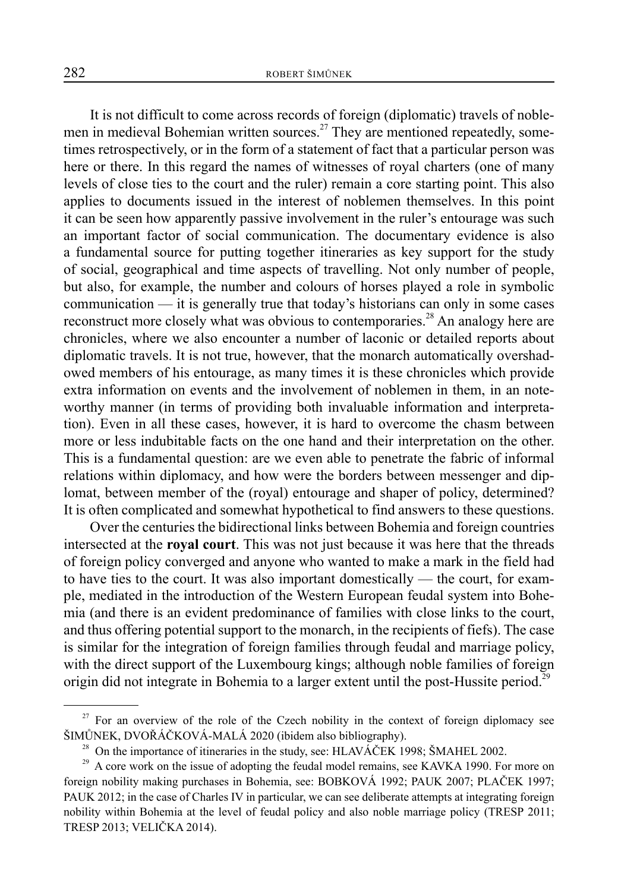It is not difficult to come across records of foreign (diplomatic) travels of noblemen in medieval Bohemian written sources.<sup>27</sup> They are mentioned repeatedly, sometimes retrospectively, or in the form of a statement of fact that a particular person was here or there. In this regard the names of witnesses of royal charters (one of many levels of close ties to the court and the ruler) remain a core starting point. This also applies to documents issued in the interest of noblemen themselves. In this point it can be seen how apparently passive involvement in the ruler's entourage was such an important factor of social communication. The documentary evidence is also a fundamental source for putting together itineraries as key support for the study of social, geographical and time aspects of travelling. Not only number of people, but also, for example, the number and colours of horses played a role in symbolic communication — it is generally true that today's historians can only in some cases reconstruct more closely what was obvious to contemporaries.<sup>28</sup> An analogy here are chronicles, where we also encounter a number of laconic or detailed reports about diplomatic travels. It is not true, however, that the monarch automatically overshadowed members of his entourage, as many times it is these chronicles which provide extra information on events and the involvement of noblemen in them, in an noteworthy manner (in terms of providing both invaluable information and interpretation). Even in all these cases, however, it is hard to overcome the chasm between more or less indubitable facts on the one hand and their interpretation on the other. This is a fundamental question: are we even able to penetrate the fabric of informal relations within diplomacy, and how were the borders between messenger and diplomat, between member of the (royal) entourage and shaper of policy, determined? It is often complicated and somewhat hypothetical to find answers to these questions.

Over the centuries the bidirectional links between Bohemia and foreign countries intersected at the **royal court**. This was not just because it was here that the threads of foreign policy converged and anyone who wanted to make a mark in the field had to have ties to the court. It was also important domestically — the court, for example, mediated in the introduction of the Western European feudal system into Bohemia (and there is an evident predominance of families with close links to the court, and thus offering potential support to the monarch, in the recipients of fiefs). The case is similar for the integration of foreign families through feudal and marriage policy, with the direct support of the Luxembourg kings; although noble families of foreign origin did not integrate in Bohemia to a larger extent until the post-Hussite period.<sup>29</sup>

 $27$  For an overview of the role of the Czech nobility in the context of foreign diplomacy see ŠIMŮNEK, DVOŘÁČKOVÁ-MALÁ 2020 (ibidem also bibliography).

<sup>&</sup>lt;sup>28</sup> On the importance of itineraries in the study, see: HLAVÁČEK 1998; ŠMAHEL 2002.

 $29$  A core work on the issue of adopting the feudal model remains, see KAVKA 1990. For more on foreign nobility making purchases in Bohemia, see: BOBKOVÁ 1992; PAUK 2007; PLAČEK 1997; PAUK 2012; in the case of Charles IV in particular, we can see deliberate attempts at integrating foreign nobility within Bohemia at the level of feudal policy and also noble marriage policy (TRESP 2011; TRESP 2013; VELIČKA 2014).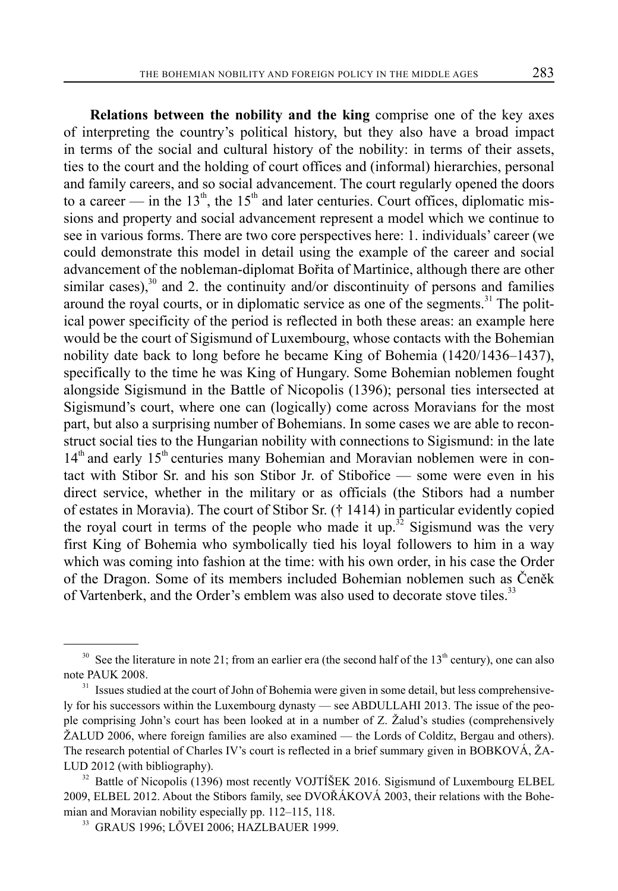**Relations between the nobility and the king** comprise one of the key axes of interpreting the country's political history, but they also have a broad impact in terms of the social and cultural history of the nobility: in terms of their assets, ties to the court and the holding of court offices and (informal) hierarchies, personal and family careers, and so social advancement. The court regularly opened the doors to a career — in the  $13<sup>th</sup>$ , the  $15<sup>th</sup>$  and later centuries. Court offices, diplomatic missions and property and social advancement represent a model which we continue to see in various forms. There are two core perspectives here: 1. individuals' career (we could demonstrate this model in detail using the example of the career and social advancement of the nobleman-diplomat Bořita of Martinice, although there are other similar cases), $30$  and 2. the continuity and/or discontinuity of persons and families around the royal courts, or in diplomatic service as one of the segments.<sup>31</sup> The political power specificity of the period is reflected in both these areas: an example here would be the court of Sigismund of Luxembourg, whose contacts with the Bohemian nobility date back to long before he became King of Bohemia (1420/1436–1437), specifically to the time he was King of Hungary. Some Bohemian noblemen fought alongside Sigismund in the Battle of Nicopolis (1396); personal ties intersected at Sigismund's court, where one can (logically) come across Moravians for the most part, but also a surprising number of Bohemians. In some cases we are able to reconstruct social ties to the Hungarian nobility with connections to Sigismund: in the late  $14<sup>th</sup>$  and early  $15<sup>th</sup>$  centuries many Bohemian and Moravian noblemen were in contact with Stibor Sr. and his son Stibor Jr. of Stibořice — some were even in his direct service, whether in the military or as officials (the Stibors had a number of estates in Moravia). The court of Stibor Sr. († 1414) in particular evidently copied the royal court in terms of the people who made it up.<sup>32</sup> Sigismund was the very first King of Bohemia who symbolically tied his loyal followers to him in a way which was coming into fashion at the time: with his own order, in his case the Order of the Dragon. Some of its members included Bohemian noblemen such as Čeněk of Vartenberk, and the Order's emblem was also used to decorate stove tiles.<sup>33</sup>

<sup>&</sup>lt;sup>30</sup> See the literature in note 21; from an earlier era (the second half of the 13<sup>th</sup> century), one can also note PAUK 2008.

 $31$  Issues studied at the court of John of Bohemia were given in some detail, but less comprehensively for his successors within the Luxembourg dynasty — see ABDULLAHI 2013. The issue of the people comprising John's court has been looked at in a number of Z. Žalud's studies (comprehensively ŽALUD 2006, where foreign families are also examined — the Lords of Colditz, Bergau and others). The research potential of Charles IV's court is reflected in a brief summary given in BOBKOVÁ, ŽA-LUD 2012 (with bibliography).

 $32$  Battle of Nicopolis (1396) most recently VOJTÍŠEK 2016. Sigismund of Luxembourg ELBEL 2009, ELBEL 2012. About the Stibors family, see DVOŘÁKOVÁ 2003, their relations with the Bohemian and Moravian nobility especially pp. 112–115, 118.

<sup>33</sup> GRAUS 1996; LŐVEI 2006; HAZLBAUER 1999.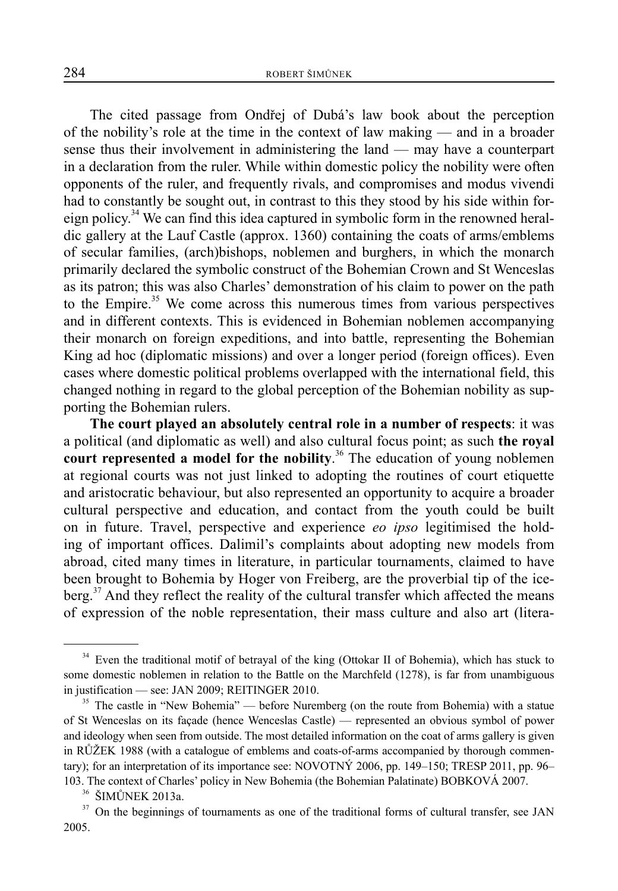The cited passage from Ondřej of Dubá's law book about the perception of the nobility's role at the time in the context of law making — and in a broader sense thus their involvement in administering the land — may have a counterpart in a declaration from the ruler. While within domestic policy the nobility were often opponents of the ruler, and frequently rivals, and compromises and modus vivendi had to constantly be sought out, in contrast to this they stood by his side within foreign policy.<sup>34</sup> We can find this idea captured in symbolic form in the renowned heraldic gallery at the Lauf Castle (approx. 1360) containing the coats of arms/emblems of secular families, (arch)bishops, noblemen and burghers, in which the monarch primarily declared the symbolic construct of the Bohemian Crown and St Wenceslas as its patron; this was also Charles' demonstration of his claim to power on the path to the Empire.<sup>35</sup> We come across this numerous times from various perspectives and in different contexts. This is evidenced in Bohemian noblemen accompanying their monarch on foreign expeditions, and into battle, representing the Bohemian King ad hoc (diplomatic missions) and over a longer period (foreign offices). Even cases where domestic political problems overlapped with the international field, this changed nothing in regard to the global perception of the Bohemian nobility as supporting the Bohemian rulers.

**The court played an absolutely central role in a number of respects**: it was a political (and diplomatic as well) and also cultural focus point; as such **the royal court represented a model for the nobility**. 36 The education of young noblemen at regional courts was not just linked to adopting the routines of court etiquette and aristocratic behaviour, but also represented an opportunity to acquire a broader cultural perspective and education, and contact from the youth could be built on in future. Travel, perspective and experience *eo ipso* legitimised the holding of important offices. Dalimil's complaints about adopting new models from abroad, cited many times in literature, in particular tournaments, claimed to have been brought to Bohemia by Hoger von Freiberg, are the proverbial tip of the iceberg.<sup>37</sup> And they reflect the reality of the cultural transfer which affected the means of expression of the noble representation, their mass culture and also art (litera-

<sup>&</sup>lt;sup>34</sup> Even the traditional motif of betrayal of the king (Ottokar II of Bohemia), which has stuck to some domestic noblemen in relation to the Battle on the Marchfeld (1278), is far from unambiguous in justification — see: JAN 2009; REITINGER 2010.

<sup>&</sup>lt;sup>35</sup> The castle in "New Bohemia" — before Nuremberg (on the route from Bohemia) with a statue of St Wenceslas on its façade (hence Wenceslas Castle) — represented an obvious symbol of power and ideology when seen from outside. The most detailed information on the coat of arms gallery is given in RŮŽEK 1988 (with a catalogue of emblems and coats-of-arms accompanied by thorough commentary); for an interpretation of its importance see: NOVOTNÝ 2006, pp. 149–150; TRESP 2011, pp. 96– 103. The context of Charles' policy in New Bohemia (the Bohemian Palatinate) BOBKOVÁ 2007.

<sup>36</sup> ŠIMŮNEK 2013a.

 $37$  On the beginnings of tournaments as one of the traditional forms of cultural transfer, see JAN 2005.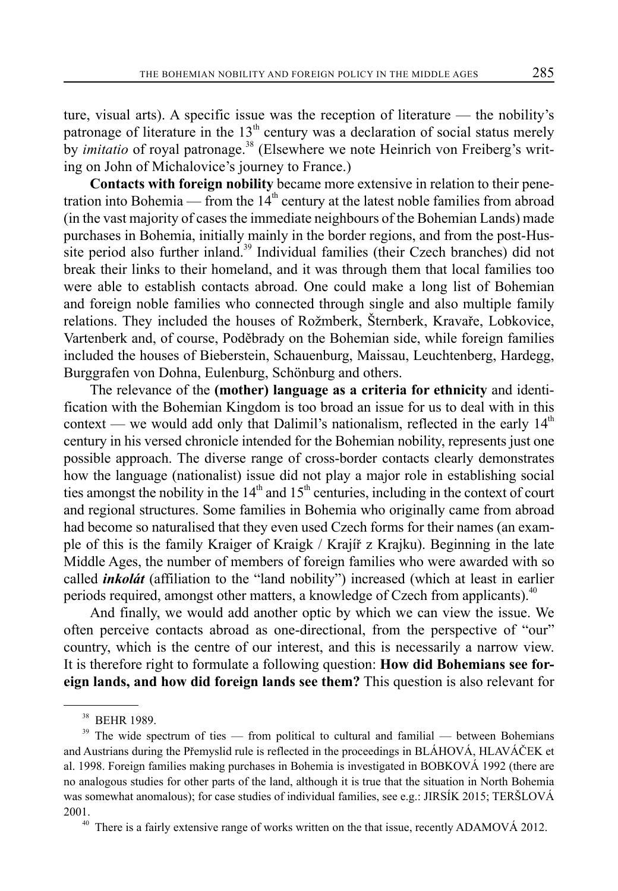ture, visual arts). A specific issue was the reception of literature — the nobility's patronage of literature in the  $13<sup>th</sup>$  century was a declaration of social status merely by *imitatio* of royal patronage.<sup>38</sup> (Elsewhere we note Heinrich von Freiberg's writing on John of Michalovice's journey to France.)

**Contacts with foreign nobility** became more extensive in relation to their penetration into Bohemia — from the  $14<sup>th</sup>$  century at the latest noble families from abroad (in the vast majority of cases the immediate neighbours of the Bohemian Lands) made purchases in Bohemia, initially mainly in the border regions, and from the post-Hussite period also further inland.<sup>39</sup> Individual families (their Czech branches) did not break their links to their homeland, and it was through them that local families too were able to establish contacts abroad. One could make a long list of Bohemian and foreign noble families who connected through single and also multiple family relations. They included the houses of Rožmberk, Šternberk, Kravaře, Lobkovice, Vartenberk and, of course, Poděbrady on the Bohemian side, while foreign families included the houses of Bieberstein, Schauenburg, Maissau, Leuchtenberg, Hardegg, Burggrafen von Dohna, Eulenburg, Schönburg and others.

The relevance of the **(mother) language as a criteria for ethnicity** and identification with the Bohemian Kingdom is too broad an issue for us to deal with in this context — we would add only that Dalimil's nationalism, reflected in the early  $14<sup>th</sup>$ century in his versed chronicle intended for the Bohemian nobility, represents just one possible approach. The diverse range of cross-border contacts clearly demonstrates how the language (nationalist) issue did not play a major role in establishing social ties amongst the nobility in the  $14<sup>th</sup>$  and  $15<sup>th</sup>$  centuries, including in the context of court and regional structures. Some families in Bohemia who originally came from abroad had become so naturalised that they even used Czech forms for their names (an example of this is the family Kraiger of Kraigk / Krajíř z Krajku). Beginning in the late Middle Ages, the number of members of foreign families who were awarded with so called *inkolát* (affiliation to the "land nobility") increased (which at least in earlier periods required, amongst other matters, a knowledge of Czech from applicants).<sup>40</sup>

And finally, we would add another optic by which we can view the issue. We often perceive contacts abroad as one-directional, from the perspective of "our" country, which is the centre of our interest, and this is necessarily a narrow view. It is therefore right to formulate a following question: **How did Bohemians see foreign lands, and how did foreign lands see them?** This question is also relevant for

<sup>38</sup> BEHR 1989.

 $39$  The wide spectrum of ties — from political to cultural and familial — between Bohemians and Austrians during the Přemyslid rule is reflected in the proceedings in BLÁHOVÁ, HLAVÁČEK et al. 1998. Foreign families making purchases in Bohemia is investigated in BOBKOVÁ 1992 (there are no analogous studies for other parts of the land, although it is true that the situation in North Bohemia was somewhat anomalous); for case studies of individual families, see e.g.: JIRSÍK 2015; TERŠLOVÁ 2001.

 $40$  There is a fairly extensive range of works written on the that issue, recently ADAMOVÁ 2012.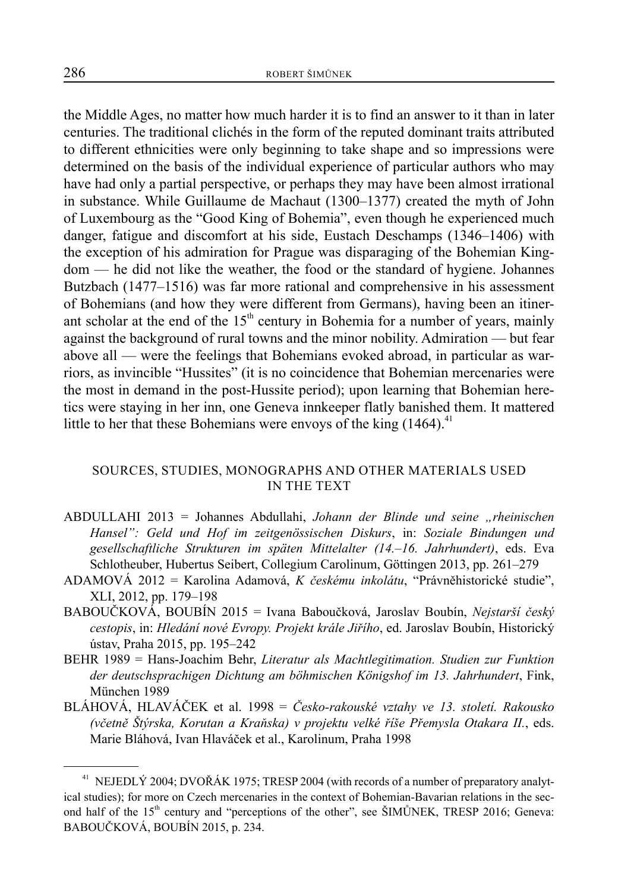the Middle Ages, no matter how much harder it is to find an answer to it than in later centuries. The traditional clichés in the form of the reputed dominant traits attributed to different ethnicities were only beginning to take shape and so impressions were determined on the basis of the individual experience of particular authors who may have had only a partial perspective, or perhaps they may have been almost irrational in substance. While Guillaume de Machaut (1300–1377) created the myth of John of Luxembourg as the "Good King of Bohemia", even though he experienced much danger, fatigue and discomfort at his side, Eustach Deschamps (1346–1406) with the exception of his admiration for Prague was disparaging of the Bohemian Kingdom — he did not like the weather, the food or the standard of hygiene. Johannes Butzbach (1477–1516) was far more rational and comprehensive in his assessment of Bohemians (and how they were different from Germans), having been an itinerant scholar at the end of the  $15<sup>th</sup>$  century in Bohemia for a number of years, mainly against the background of rural towns and the minor nobility. Admiration — but fear above all — were the feelings that Bohemians evoked abroad, in particular as warriors, as invincible "Hussites" (it is no coincidence that Bohemian mercenaries were the most in demand in the post-Hussite period); upon learning that Bohemian heretics were staying in her inn, one Geneva innkeeper flatly banished them. It mattered little to her that these Bohemians were envoys of the king  $(1464)^{41}$ 

# SOURCES, STUDIES, MONOGRAPHS AND OTHER MATERIALS USED IN THE TEXT

- ABDULLAHI 2013 = Johannes Abdullahi, *Johann der Blinde und seine "rheinischen Hansel": Geld und Hof im zeitgenössischen Diskurs*, in: *Soziale Bindungen und gesellschaftliche Strukturen im späten Mittelalter (14.–16. Jahrhundert)*, eds. Eva Schlotheuber, Hubertus Seibert, Collegium Carolinum, Göttingen 2013, pp. 261–279
- ADAMOVÁ 2012 = Karolina Adamová, *K českému inkolátu*, "Právněhistorické studie", XLI, 2012, pp. 179–198
- BABOUČKOVÁ, BOUBÍN 2015 = Ivana Baboučková, Jaroslav Boubín, *Nejstarší český cestopis*, in: *Hledání nové Evropy. Projekt krále Jiřího*, ed. Jaroslav Boubín, Historický ústav, Praha 2015, pp. 195–242
- BEHR 1989 = Hans-Joachim Behr, *Literatur als Machtlegitimation. Studien zur Funktion der deutschsprachigen Dichtung am böhmischen Königshof im 13. Jahrhundert*, Fink, München 1989
- BLÁHOVÁ, HLAVÁČEK et al. 1998 = *Česko-rakouské vztahy ve 13. století. Rakousko (včetně Štýrska, Korutan a Kraňska) v projektu velké říše Přemysla Otakara II.*, eds. Marie Bláhová, Ivan Hlaváček et al., Karolinum, Praha 1998

<sup>&</sup>lt;sup>41</sup> NEJEDLÝ 2004; DVOŘÁK 1975; TRESP 2004 (with records of a number of preparatory analytical studies); for more on Czech mercenaries in the context of Bohemian-Bavarian relations in the second half of the 15<sup>th</sup> century and "perceptions of the other", see ŠIMŮNEK, TRESP 2016; Geneva: BABOUČKOVÁ, BOUBÍN 2015, p. 234.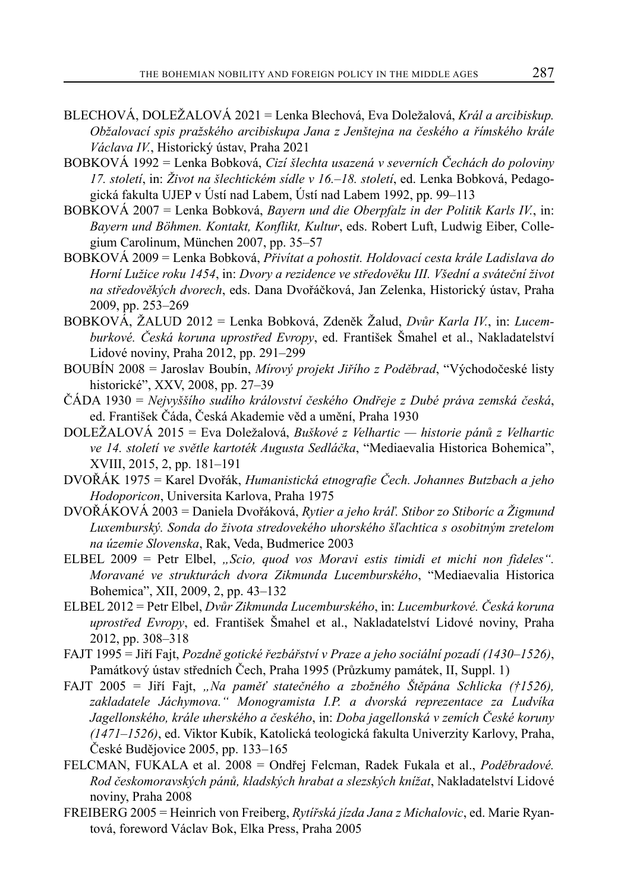- BLECHOVÁ, DOLEŽALOVÁ 2021 = Lenka Blechová, Eva Doležalová, *Král a arcibiskup. Obžalovací spis pražského arcibiskupa Jana z Jenštejna na českého a římského krále Václava IV.*, Historický ústav, Praha 2021
- BOBKOVÁ 1992 = Lenka Bobková, *Cizí šlechta usazená v severních Čechách do poloviny 17. století*, in: *Život na šlechtickém sídle v 16.–18. století*, ed. Lenka Bobková, Pedagogická fakulta UJEP v Ústí nad Labem, Ústí nad Labem 1992, pp. 99–113
- BOBKOVÁ 2007 = Lenka Bobková, *Bayern und die Oberpfalz in der Politik Karls IV.*, in: *Bayern und Böhmen. Kontakt, Konflikt, Kultur*, eds. Robert Luft, Ludwig Eiber, Collegium Carolinum, München 2007, pp. 35–57
- BOBKOVÁ 2009 = Lenka Bobková, *Přivítat a pohostit. Holdovací cesta krále Ladislava do Horní Lužice roku 1454*, in: *Dvory a rezidence ve středověku III. Všední a sváteční život na středověkých dvorech*, eds. Dana Dvořáčková, Jan Zelenka, Historický ústav, Praha 2009, pp. 253–269
- BOBKOVÁ, ŽALUD 2012 = Lenka Bobková, Zdeněk Žalud, *Dvůr Karla IV.*, in: *Lucemburkové. Česká koruna uprostřed Evropy*, ed. František Šmahel et al., Nakladatelství Lidové noviny, Praha 2012, pp. 291–299
- BOUBÍN 2008 = Jaroslav Boubín, *Mírový projekt Jiřího z Poděbrad*, "Východočeské listy historické", XXV, 2008, pp. 27–39
- ČÁDA 1930 = *Nejvyššího sudího království českého Ondřeje z Dubé práva zemská česká*, ed. František Čáda, Česká Akademie věd a umění, Praha 1930
- DOLEŽALOVÁ 2015 = Eva Doležalová, *Buškové z Velhartic historie pánů z Velhartic ve 14. století ve světle kartoték Augusta Sedláčka*, "Mediaevalia Historica Bohemica", XVIII, 2015, 2, pp. 181–191
- DVOŘÁK 1975 = Karel Dvořák, *Humanistická etnografie Čech. Johannes Butzbach a jeho Hodoporicon*, Universita Karlova, Praha 1975
- DVOŘÁKOVÁ 2003 = Daniela Dvořáková, *Rytier a jeho kráľ. Stibor zo Stiboríc a Žigmund Luxemburský. Sonda do života stredovekého uhorského šľachtica s osobitným zretelom na územie Slovenska*, Rak, Veda, Budmerice 2003
- ELBEL 2009 = Petr Elbel, *"Scio, quod vos Moravi estis timidi et michi non fideles". Moravané ve strukturách dvora Zikmunda Lucemburského*, "Mediaevalia Historica Bohemica", XII, 2009, 2, pp. 43–132
- ELBEL 2012 = Petr Elbel, *Dvůr Zikmunda Lucemburského*, in: *Lucemburkové. Česká koruna uprostřed Evropy*, ed. František Šmahel et al., Nakladatelství Lidové noviny, Praha 2012, pp. 308–318
- FAJT 1995 = Jiří Fajt, *Pozdně gotické řezbářství v Praze a jeho sociální pozadí (1430–1526)*, Památkový ústav středních Čech, Praha 1995 (Průzkumy památek, II, Suppl. 1)
- FAJT 2005 = Jiří Fajt, *"Na paměť statečného a zbožného Štěpána Schlicka (†1526), zakladatele Jáchymova." Monogramista I.P. a dvorská reprezentace za Ludvíka Jagellonského, krále uherského a českého*, in: *Doba jagellonská v zemích České koruny (1471–1526)*, ed. Viktor Kubík, Katolická teologická fakulta Univerzity Karlovy, Praha, České Budějovice 2005, pp. 133–165
- FELCMAN, FUKALA et al. 2008 = Ondřej Felcman, Radek Fukala et al., *Poděbradové. Rod českomoravských pánů, kladských hrabat a slezských knížat*, Nakladatelství Lidové noviny, Praha 2008
- FREIBERG 2005 = Heinrich von Freiberg, *Rytířská jízda Jana z Michalovic*, ed. Marie Ryantová, foreword Václav Bok, Elka Press, Praha 2005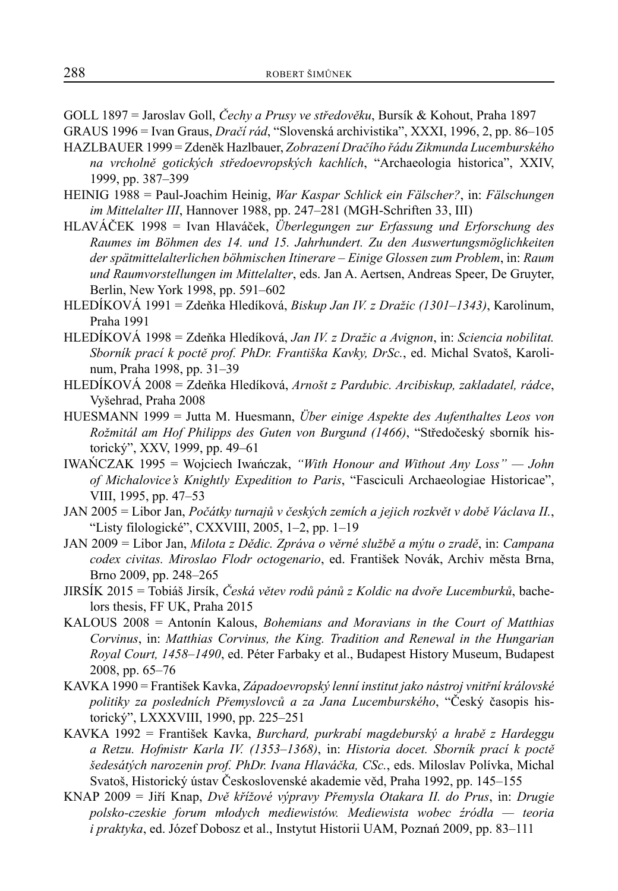GOLL 1897 = Jaroslav Goll, *Čechy a Prusy ve středověku*, Bursík & Kohout, Praha 1897

GRAUS 1996 = Ivan Graus, *Dračí rád*, "Slovenská archivistika", XXXI, 1996, 2, pp. 86–105

- HAZLBAUER 1999 = Zdeněk Hazlbauer, *Zobrazení Dračího řádu Zikmunda Lucemburského na vrcholně gotických středoevropských kachlích*, "Archaeologia historica", XXIV, 1999, pp. 387–399
- HEINIG 1988 = Paul-Joachim Heinig, *War Kaspar Schlick ein Fälscher?*, in: *Fälschungen im Mittelalter III*, Hannover 1988, pp. 247–281 (MGH-Schriften 33, III)
- HLAVÁČEK 1998 = Ivan Hlaváček, *Überlegungen zur Erfassung und Erforschung des Raumes im Böhmen des 14. und 15. Jahrhundert. Zu den Auswertungsmöglichkeiten der spätmittelalterlichen böhmischen Itinerare – Einige Glossen zum Problem*, in: *Raum und Raumvorstellungen im Mittelalter*, eds. Jan A. Aertsen, Andreas Speer, De Gruyter, Berlin, New York 1998, pp. 591–602
- HLEDÍKOVÁ 1991 = Zdeňka Hledíková, *Biskup Jan IV. z Dražic (1301–1343)*, Karolinum, Praha 1991
- HLEDÍKOVÁ 1998 = Zdeňka Hledíková, *Jan IV. z Dražic a Avignon*, in: *Sciencia nobilitat. Sborník prací k poctě prof. PhDr. Františka Kavky, DrSc.*, ed. Michal Svatoš, Karolinum, Praha 1998, pp. 31–39
- HLEDÍKOVÁ 2008 = Zdeňka Hledíková, *Arnošt z Pardubic. Arcibiskup, zakladatel, rádce*, Vyšehrad, Praha 2008
- HUESMANN 1999 = Jutta M. Huesmann, *Über einige Aspekte des Aufenthaltes Leos von Rožmitál am Hof Philipps des Guten von Burgund (1466)*, "Středočeský sborník historický", XXV, 1999, pp. 49–61
- IWAŃCZAK 1995 = Wojciech Iwańczak, *"With Honour and Without Any Loss" John of Michalovice's Knightly Expedition to Paris*, "Fasciculi Archaeologiae Historicae", VIII, 1995, pp. 47–53
- JAN 2005 = Libor Jan, *Počátky turnajů v českých zemích a jejich rozkvět v době Václava II.*, "Listy filologické", CXXVIII, 2005, 1–2, pp. 1–19
- JAN 2009 = Libor Jan, *Milota z Dědic. Zpráva o věrné službě a mýtu o zradě*, in: *Campana codex civitas. Miroslao Flodr octogenario*, ed. František Novák, Archiv města Brna, Brno 2009, pp. 248–265
- JIRSÍK 2015 = Tobiáš Jirsík, *Česká větev rodů pánů z Koldic na dvoře Lucemburků*, bachelors thesis, FF UK, Praha 2015
- KALOUS 2008 = Antonín Kalous, *Bohemians and Moravians in the Court of Matthias Corvinus*, in: *Matthias Corvinus, the King. Tradition and Renewal in the Hungarian Royal Court, 1458–1490*, ed. Péter Farbaky et al., Budapest History Museum, Budapest 2008, pp. 65–76
- KAVKA 1990 = František Kavka, *Západoevropský lenní institut jako nástroj vnitřní královské politiky za posledních Přemyslovců a za Jana Lucemburského*, "Český časopis historický", LXXXVIII, 1990, pp. 225–251
- KAVKA 1992 = František Kavka, *Burchard, purkrabí magdeburský a hrabě z Hardeggu a Retzu. Hofmistr Karla IV. (1353–1368)*, in: *Historia docet. Sborník prací k poctě šedesátých narozenin prof. PhDr. Ivana Hlaváčka, CSc.*, eds. Miloslav Polívka, Michal Svatoš, Historický ústav Československé akademie věd, Praha 1992, pp. 145–155
- KNAP 2009 = Jiří Knap, *Dvě křížové výpravy Přemysla Otakara II. do Prus*, in: *Drugie polsko-czeskie forum młodych mediewistów. Mediewista wobec źródła — teoria i praktyka*, ed. Józef Dobosz et al., Instytut Historii UAM, Poznań 2009, pp. 83–111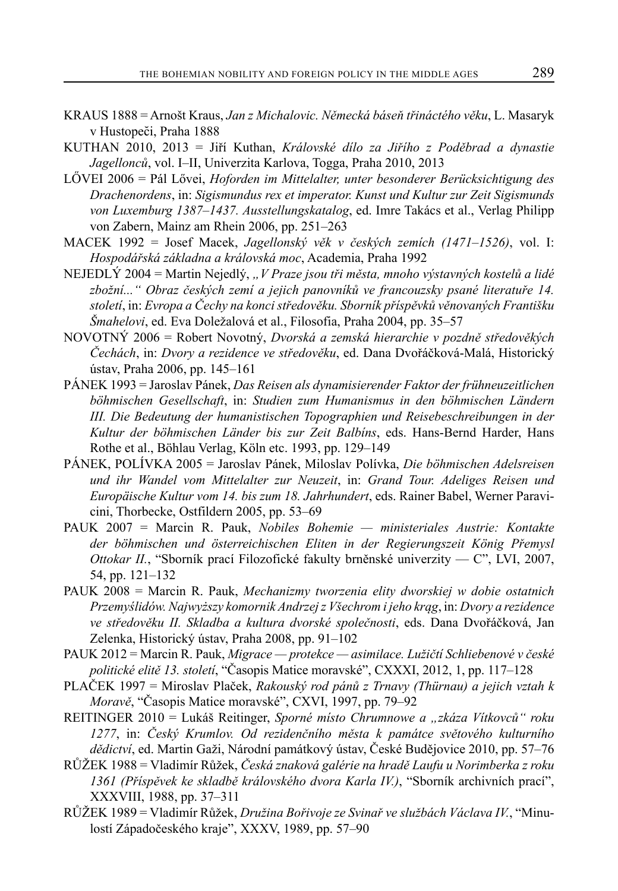- KRAUS 1888 = Arnošt Kraus, *Jan z Michalovic. Německá báseň třináctého věku*, L. Masaryk v Hustopec̆i, Praha 1888
- KUTHAN 2010, 2013 = Jiří Kuthan, *Královské dílo za Jiřího z Poděbrad a dynastie Jagellonců*, vol. I–II, Univerzita Karlova, Togga, Praha 2010, 2013
- LŐVEI 2006 = Pál Lővei, *Hoforden im Mittelalter, unter besonderer Berücksichtigung des Drachenordens*, in: *Sigismundus rex et imperator. Kunst und Kultur zur Zeit Sigismunds von Luxemburg 1387–1437. Ausstellungskatalog*, ed. Imre Takács et al., Verlag Philipp von Zabern, Mainz am Rhein 2006, pp. 251–263
- MACEK 1992 = Josef Macek, *Jagellonský věk v českých zemích (1471–1526)*, vol. I: *Hospodářská základna a královská moc*, Academia, Praha 1992
- NEJEDLÝ 2004 = Martin Nejedlý, *"V Praze jsou tři města, mnoho výstavných kostelů a lidé zbožní..." Obraz českých zemí a jejich panovníků ve francouzsky psané literatuře 14. století*, in: *Evropa a Čechy na konci středověku. Sborník příspěvků věnovaných Františku Šmahelovi*, ed. Eva Doležalová et al., Filosofia, Praha 2004, pp. 35–57
- NOVOTNÝ 2006 = Robert Novotný, *Dvorská a zemská hierarchie v pozdně středověkých Čechách*, in: *Dvory a rezidence ve středověku*, ed. Dana Dvořáčková-Malá, Historický ústav, Praha 2006, pp. 145–161
- PÁNEK 1993 = Jaroslav Pánek, *Das Reisen als dynamisierender Faktor der frühneuzeitlichen böhmischen Gesellschaft*, in: *Studien zum Humanismus in den böhmischen Ländern III. Die Bedeutung der humanistischen Topographien und Reisebeschreibungen in der Kultur der böhmischen Länder bis zur Zeit Balbíns*, eds. Hans-Bernd Harder, Hans Rothe et al., Böhlau Verlag, Köln etc. 1993, pp. 129–149
- PÁNEK, POLÍVKA 2005 = Jaroslav Pánek, Miloslav Polívka, *Die böhmischen Adelsreisen und ihr Wandel vom Mittelalter zur Neuzeit*, in: *Grand Tour. Adeliges Reisen und Europäische Kultur vom 14. bis zum 18. Jahrhundert*, eds. Rainer Babel, Werner Paravicini, Thorbecke, Ostfildern 2005, pp. 53–69
- PAUK 2007 = Marcin R. Pauk, *Nobiles Bohemie ministeriales Austrie: Kontakte der böhmischen und österreichischen Eliten in der Regierungszeit König Přemysl Ottokar II.*, "Sborník prací Filozofické fakulty brněnské univerzity — C", LVI, 2007, 54, pp. 121–132
- PAUK 2008 = Marcin R. Pauk, *Mechanizmy tworzenia elity dworskiej w dobie ostatnich Przemyślidów. Najwyższy komornik Andrzej z Všechrom i jeho krąg*, in: *Dvory a rezidence ve středověku II. Skladba a kultura dvorské společnosti*, eds. Dana Dvořáčková, Jan Zelenka, Historický ústav, Praha 2008, pp. 91–102
- PAUK 2012 = Marcin R. Pauk, *Migrace protekce asimilace. Lužičtí Schliebenové v české politické elitě 13. století*, "Časopis Matice moravské", CXXXI, 2012, 1, pp. 117–128
- PLAČEK 1997 = Miroslav Plaček, *Rakouský rod pánů z Trnavy (Thürnau) a jejich vztah k Moravě*, "Časopis Matice moravské", CXVI, 1997, pp. 79–92
- REITINGER 2010 = Lukáš Reitinger, *Sporné místo Chrumnowe a "zkáza Vítkovců" roku 1277*, in: *Český Krumlov. Od rezidenčního města k památce světového kulturního dědictví*, ed. Martin Gaži, Národní památkový ústav, České Budějovice 2010, pp. 57–76
- RŮŽEK 1988 = Vladimír Růžek, *Česká znaková galérie na hradě Laufu u Norimberka z roku 1361 (Příspěvek ke skladbě královského dvora Karla IV.)*, "Sborník archivních prací", XXXVIII, 1988, pp. 37–311
- RŮŽEK 1989 = Vladimír Růžek, *Družina Bořivoje ze Svinař ve službách Václava IV.*, "Minulostí Západočeského kraje", XXXV, 1989, pp. 57–90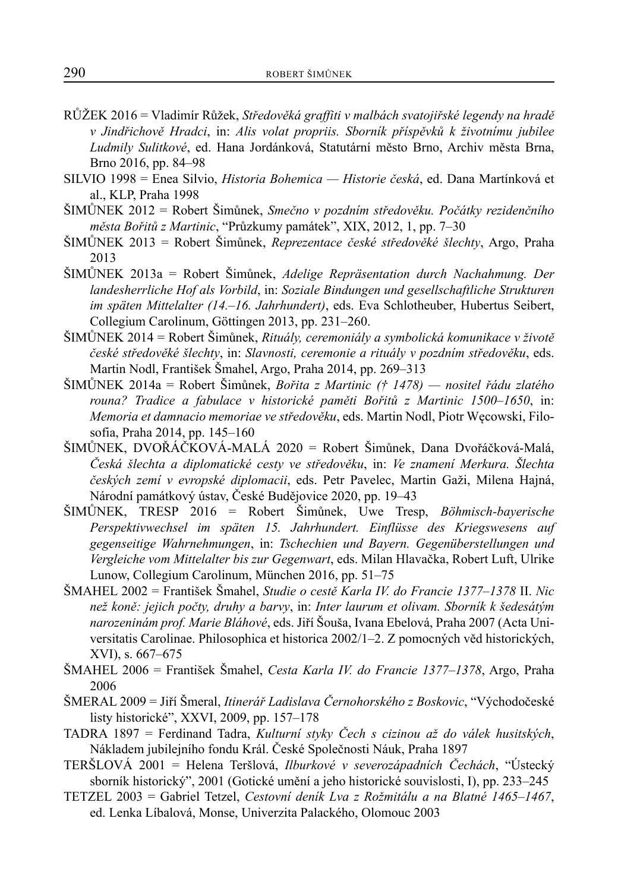- RŮŽEK 2016 = Vladimír Růžek, *Středověká graffiti v malbách svatojiřské legendy na hradě v Jindřichově Hradci*, in: *Alis volat propriis. Sborník příspěvků k životnímu jubilee Ludmily Sulitkové*, ed. Hana Jordánková, Statutární město Brno, Archiv města Brna, Brno 2016, pp. 84–98
- SILVIO 1998 = Enea Silvio, *Historia Bohemica Historie česká*, ed. Dana Martínková et al., KLP, Praha 1998
- ŠIMŮNEK 2012 = Robert Šimůnek, *Smečno v pozdním středověku. Počátky rezidenčního města Bořitů z Martinic*, "Průzkumy památek", XIX, 2012, 1, pp. 7–30
- ŠIMŮNEK 2013 = Robert Šimůnek, *Reprezentace české středověké šlechty*, Argo, Praha 2013
- ŠIMŮNEK 2013a = Robert Šimůnek, *Adelige Repräsentation durch Nachahmung. Der landesherrliche Hof als Vorbild*, in: *Soziale Bindungen und gesellschaftliche Strukturen im späten Mittelalter (14.–16. Jahrhundert)*, eds. Eva Schlotheuber, Hubertus Seibert, Collegium Carolinum, Göttingen 2013, pp. 231–260.
- ŠIMŮNEK 2014 = Robert Šimůnek, *Rituály, ceremoniály a symbolická komunikace v životě české středověké šlechty*, in: *Slavnosti, ceremonie a rituály v pozdním středověku*, eds. Martin Nodl, František Šmahel, Argo, Praha 2014, pp. 269–313
- ŠIMŮNEK 2014a = Robert Šimůnek, *Bořita z Martinic († 1478) nositel řádu zlatého rouna? Tradice a fabulace v historické paměti Bořitů z Martinic 1500–1650*, in: *Memoria et damnacio memoriae ve středověku*, eds. Martin Nodl, Piotr Węcowski, Filosofia, Praha 2014, pp. 145–160
- ŠIMŮNEK, DVOŘÁČKOVÁ-MALÁ 2020 = Robert Šimůnek, Dana Dvořáčková-Malá, *Česká šlechta a diplomatické cesty ve středověku*, in: *Ve znamení Merkura. Šlechta českých zemí v evropské diplomacii*, eds. Petr Pavelec, Martin Gaži, Milena Hajná, Národní památkový ústav, České Budějovice 2020, pp. 19–43
- ŠIMŮNEK, TRESP 2016 = Robert Šimůnek, Uwe Tresp, *Böhmisch-bayerische Perspektivwechsel im späten 15. Jahrhundert. Einflüsse des Kriegswesens auf gegenseitige Wahrnehmungen*, in: *Tschechien und Bayern. Gegenüberstellungen und Vergleiche vom Mittelalter bis zur Gegenwart*, eds. Milan Hlavačka, Robert Luft, Ulrike Lunow, Collegium Carolinum, München 2016, pp. 51–75
- ŠMAHEL 2002 = František Šmahel, *Studie o cestě Karla IV. do Francie 1377–1378* II. *Nic než koně: jejich počty, druhy a barvy*, in: *Inter laurum et olivam. Sborník k šedesátým narozeninám prof. Marie Bláhové*, eds. Jiří Šouša, Ivana Ebelová, Praha 2007 (Acta Universitatis Carolinae. Philosophica et historica 2002/1–2. Z pomocných věd historických, XVI), s. 667–675
- ŠMAHEL 2006 = František Šmahel, *Cesta Karla IV. do Francie 1377–1378*, Argo, Praha 2006
- ŠMERAL 2009 = Jiří Šmeral, *Itinerář Ladislava Černohorského z Boskovic*, "Východočeské listy historické", XXVI, 2009, pp. 157–178
- TADRA 1897 = Ferdinand Tadra, *Kulturní styky Čech s cizinou až do válek husitských*, Nákladem jubilejního fondu Král. České Společnosti Náuk, Praha 1897
- TERŠLOVÁ 2001 = Helena Teršlová, *Ilburkové v severozápadních Čechách*, "Ústecký sborník historický", 2001 (Gotické umění a jeho historické souvislosti, I), pp. 233–245
- TETZEL 2003 = Gabriel Tetzel, *Cestovní deník Lva z Rožmitálu a na Blatné 1465–1467*, ed. Lenka Líbalová, Monse, Univerzita Palackého, Olomouc 2003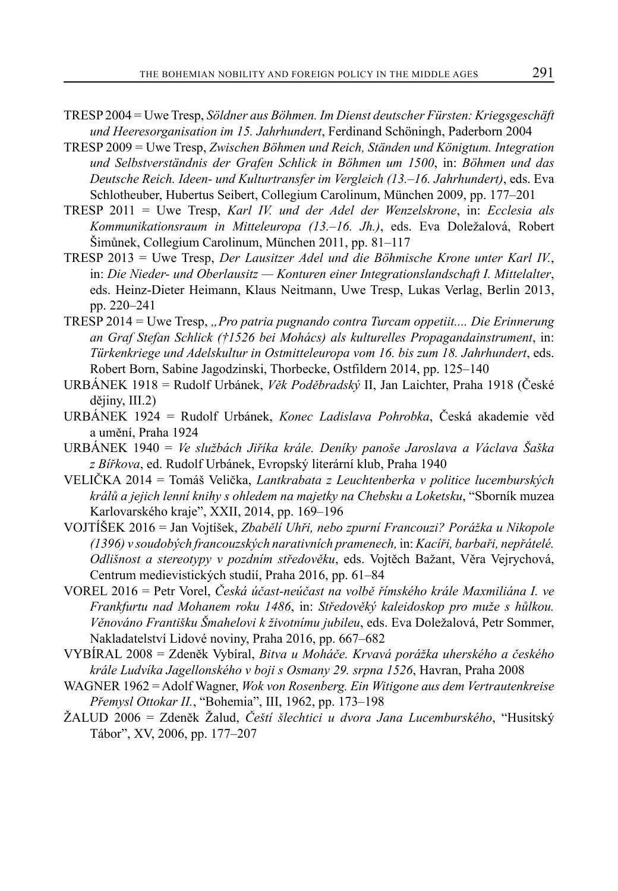- TRESP 2004 = Uwe Tresp, *Söldner aus Böhmen. Im Dienst deutscher Fürsten: Kriegsgeschäft und Heeresorganisation im 15. Jahrhundert*, Ferdinand Schöningh, Paderborn 2004
- TRESP 2009 = Uwe Tresp, *Zwischen Böhmen und Reich, Ständen und Königtum. Integration und Selbstverständnis der Grafen Schlick in Böhmen um 1500*, in: *Böhmen und das Deutsche Reich. Ideen- und Kulturtransfer im Vergleich (13.–16. Jahrhundert)*, eds. Eva Schlotheuber, Hubertus Seibert, Collegium Carolinum, München 2009, pp. 177–201
- TRESP 2011 = Uwe Tresp, *Karl IV. und der Adel der Wenzelskrone*, in: *Ecclesia als Kommunikationsraum in Mitteleuropa (13.–16. Jh.)*, eds. Eva Doležalová, Robert Šimůnek, Collegium Carolinum, München 2011, pp. 81–117
- TRESP 2013 = Uwe Tresp, *Der Lausitzer Adel und die Böhmische Krone unter Karl IV.*, in: *Die Nieder- und Oberlausitz — Konturen einer Integrationslandschaft I. Mittelalter*, eds. Heinz-Dieter Heimann, Klaus Neitmann, Uwe Tresp, Lukas Verlag, Berlin 2013, pp. 220–241
- TRESP 2014 = Uwe Tresp, *"Pro patria pugnando contra Turcam oppetiit.... Die Erinnerung an Graf Stefan Schlick (†1526 bei Mohács) als kulturelles Propagandainstrument*, in: *Türkenkriege und Adelskultur in Ostmitteleuropa vom 16. bis zum 18. Jahrhundert*, eds. Robert Born, Sabine Jagodzinski, Thorbecke, Ostfildern 2014, pp. 125–140
- URBÁNEK 1918 = Rudolf Urbánek, *Věk Poděbradský* II, Jan Laichter, Praha 1918 (České dějiny, III.2)
- URBÁNEK 1924 = Rudolf Urbánek, *Konec Ladislava Pohrobka*, Česká akademie věd a umění, Praha 1924
- URBÁNEK 1940 = *Ve službách Jiříka krále. Deníky panoše Jaroslava a Václava Šaška z Bířkova*, ed. Rudolf Urbánek, Evropský literární klub, Praha 1940
- VELIČKA 2014 = Tomáš Velička, *Lantkrabata z Leuchtenberka v politice lucemburských králů a jejich lenní knihy s ohledem na majetky na Chebsku a Loketsku*, "Sborník muzea Karlovarského kraje", XXII, 2014, pp. 169–196
- VOJTÍŠEK 2016 = Jan Vojtíšek, *Zbabělí Uhři, nebo zpurní Francouzi? Porážka u Nikopole (1396) v soudobých francouzských narativních pramenech,* in: *Kacíři, barbaři, nepřátelé. Odlišnost a stereotypy v pozdním středověku*, eds. Vojtěch Bažant, Věra Vejrychová, Centrum medievistických studií, Praha 2016, pp. 61–84
- VOREL 2016 = Petr Vorel, *Česká účast-neúčast na volbě římského krále Maxmiliána I. ve Frankfurtu nad Mohanem roku 1486*, in: *Středověký kaleidoskop pro muže s hůlkou. Věnováno Františku Šmahelovi k životnímu jubileu*, eds. Eva Doležalová, Petr Sommer, Nakladatelství Lidové noviny, Praha 2016, pp. 667–682
- VYBÍRAL 2008 = Zdeněk Vybíral, *Bitva u Moháče. Krvavá porážka uherského a českého krále Ludvíka Jagellonského v boji s Osmany 29. srpna 1526*, Havran, Praha 2008
- WAGNER 1962 = Adolf Wagner, *Wok von Rosenberg. Ein Witigone aus dem Vertrautenkreise Přemysl Ottokar II.*, "Bohemia", III, 1962, pp. 173–198
- ŽALUD 2006 = Zdeněk Žalud, *Čeští šlechtici u dvora Jana Lucemburského*, "Husitský Tábor", XV, 2006, pp. 177–207